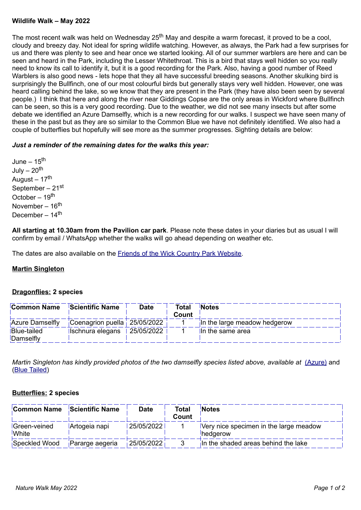### **Wildlife Walk – May 2022**

The most recent walk was held on Wednesday 25<sup>th</sup> May and despite a warm forecast, it proved to be a cool, cloudy and breezy day. Not ideal for spring wildlife watching. However, as always, the Park had a few surprises for us and there was plenty to see and hear once we started looking. All of our summer warblers are here and can be seen and heard in the Park, including the Lesser Whitethroat. This is a bird that stays well hidden so you really need to know its call to identify it, but it is a good recording for the Park. Also, having a good number of Reed Warblers is also good news - lets hope that they all have successful breeding seasons. Another skulking bird is surprisingly the Bullfinch, one of our most colourful birds but generally stays very well hidden. However, one was heard calling behind the lake, so we know that they are present in the Park (they have also been seen by several people.) I think that here and along the river near Giddings Copse are the only areas in Wickford where Bullfinch can be seen, so this is a very good recording. Due to the weather, we did not see many insects but after some debate we identified an Azure Damselfly, which is a new recording for our walks. I suspect we have seen many of these in the past but as they are so similar to the Common Blue we have not definitely identified. We also had a couple of butterflies but hopefully will see more as the summer progresses. Sighting details are below:

# *Just a reminder of the remaining dates for the walks this year:*

June –  $15<sup>th</sup>$ July  $-20<sup>th</sup>$ August –  $17<sup>th</sup>$ September – 21<sup>st</sup> October – 19th November – 16th December – 14<sup>th</sup>

**All starting at 10.30am from the Pavilion car park**. Please note these dates in your diaries but as usual I will confirm by email / WhatsApp whether the walks will go ahead depending on weather etc.

The dates are also available on the [Friends of the Wick Country Park Website](https://www.friendsofthewickcountrypark.co.uk/news.shtml).

# **Martin Singleton**

### **Dragonflies: 2 species**

| Common Name                     | <b>Scientific Name</b>                | <b>Date</b> | <b>Total</b><br>Count | <b>Notes</b>                 |
|---------------------------------|---------------------------------------|-------------|-----------------------|------------------------------|
| <b>Azure Damselfly</b>          | Coenagrion puella   25/05/2022        |             |                       | In the large meadow hedgerow |
| <b>Blue-tailed</b><br>Damselfly | $\vert$ Ischnura elegans   25/05/2022 |             |                       | In the same area             |

*Martin Singleton has kindly provided photos of the two damselfly species listed above, available at [\(Azure\)](https://www.friendsofthewickcountrypark.co.uk/Photos/Azure_DF_WCP_250522.jpg)* and [\(Blue Tailed](https://www.friendsofthewickcountrypark.co.uk/Photos/Blue_Tailed_DF_WCP_250522.jpg))

# **Butterflies: 2 species**

| <b>Common Name</b>    | Scientific Name | <b>Date</b> | <b>Total</b><br><b>Count</b> | <b>Notes</b>                                                      |
|-----------------------|-----------------|-------------|------------------------------|-------------------------------------------------------------------|
| Green-veined<br>White | Artogeia napi   | 25/05/2022  |                              | Very nice specimen in the large meadow<br><i><b>Ihedgerow</b></i> |
| Speckled Wood         | Pararge aegeria | 25/05/2022  |                              | In the shaded areas behind the lake                               |